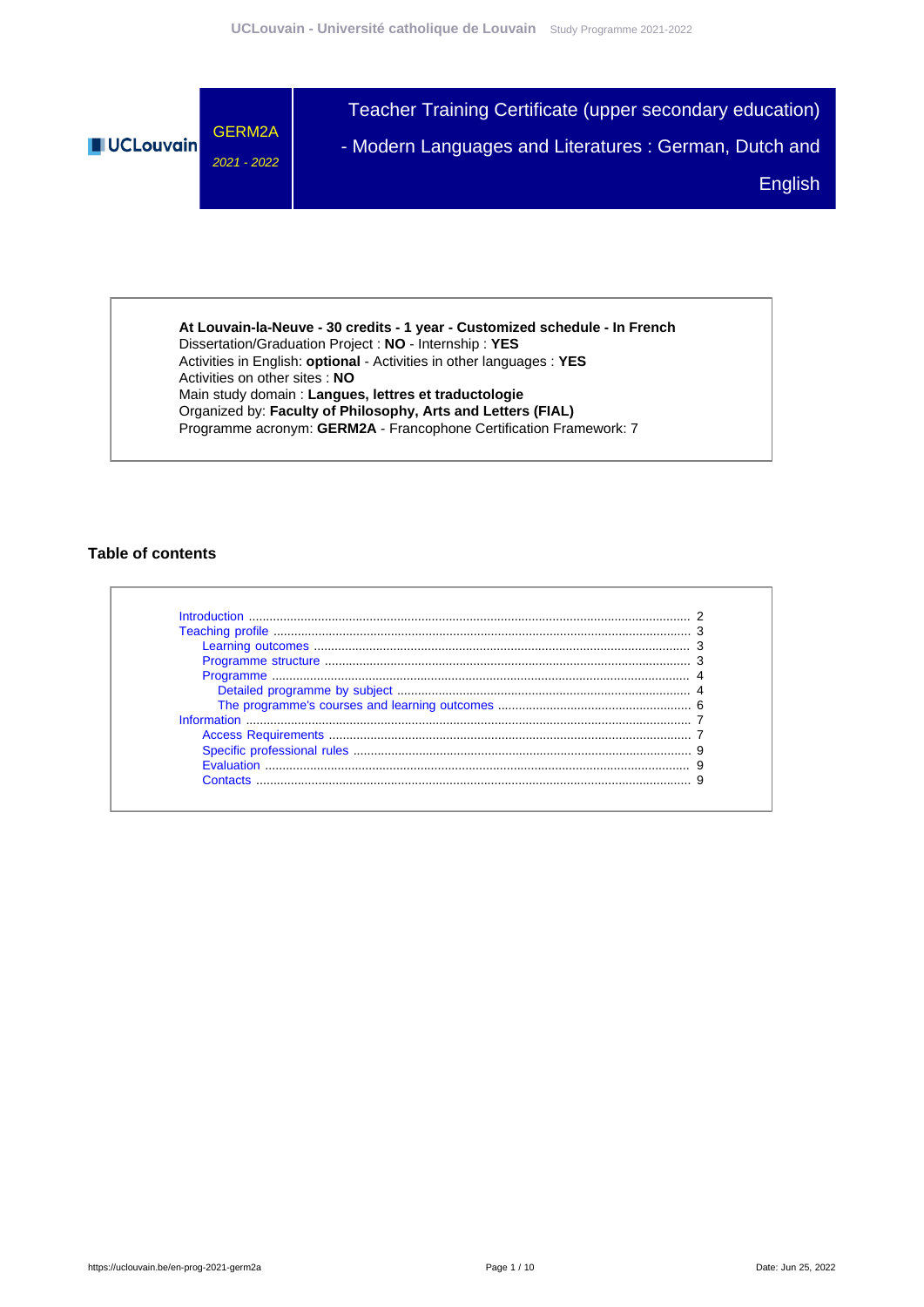

**At Louvain-la-Neuve - 30 credits - 1 year - Customized schedule - In French** Dissertation/Graduation Project : **NO** - Internship : **YES** Activities in English: **optional** - Activities in other languages : **YES** Activities on other sites : **NO** Main study domain : **Langues, lettres et traductologie** Organized by: **Faculty of Philosophy, Arts and Letters (FIAL)** Programme acronym: **GERM2A** - Francophone Certification Framework: 7

### **Table of contents**

| Introduction |  |
|--------------|--|
|              |  |
|              |  |
|              |  |
|              |  |
|              |  |
|              |  |
|              |  |
|              |  |
|              |  |
|              |  |
| Contacts     |  |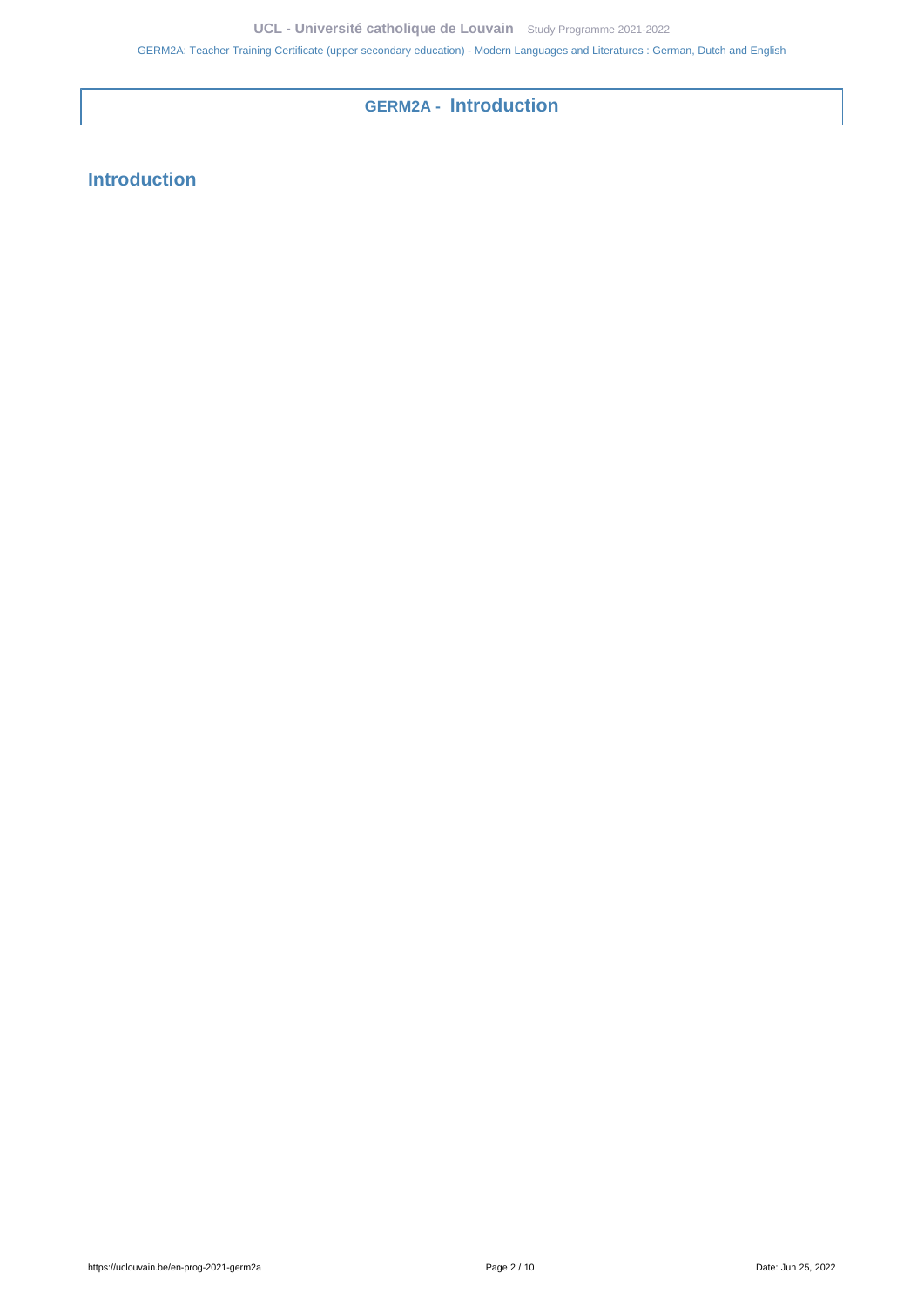# **GERM2A - Introduction**

# <span id="page-1-0"></span>**Introduction**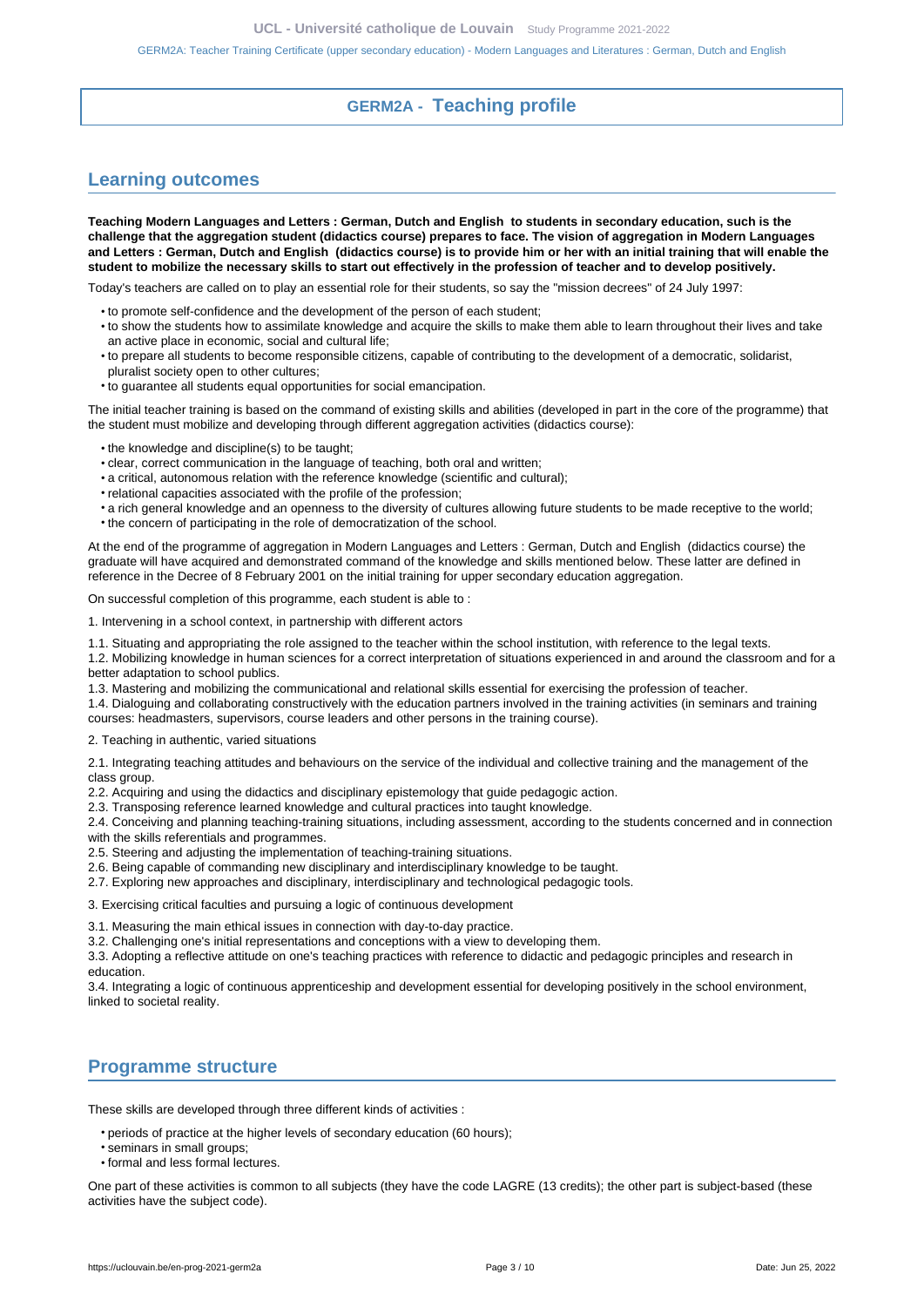## **GERM2A - Teaching profile**

## <span id="page-2-1"></span><span id="page-2-0"></span>**Learning outcomes**

**Teaching Modern Languages and Letters : German, Dutch and English to students in secondary education, such is the challenge that the aggregation student (didactics course) prepares to face. The vision of aggregation in Modern Languages and Letters : German, Dutch and English (didactics course) is to provide him or her with an initial training that will enable the student to mobilize the necessary skills to start out effectively in the profession of teacher and to develop positively.**

Today's teachers are called on to play an essential role for their students, so say the "mission decrees" of 24 July 1997:

- to promote self-confidence and the development of the person of each student;
- to show the students how to assimilate knowledge and acquire the skills to make them able to learn throughout their lives and take an active place in economic, social and cultural life;
- to prepare all students to become responsible citizens, capable of contributing to the development of a democratic, solidarist, pluralist society open to other cultures;
- to guarantee all students equal opportunities for social emancipation.

The initial teacher training is based on the command of existing skills and abilities (developed in part in the core of the programme) that the student must mobilize and developing through different aggregation activities (didactics course):

- the knowledge and discipline(s) to be taught;
- clear, correct communication in the language of teaching, both oral and written;
- a critical, autonomous relation with the reference knowledge (scientific and cultural);
- relational capacities associated with the profile of the profession;
- a rich general knowledge and an openness to the diversity of cultures allowing future students to be made receptive to the world;
- the concern of participating in the role of democratization of the school.

At the end of the programme of aggregation in Modern Languages and Letters : German, Dutch and English (didactics course) the graduate will have acquired and demonstrated command of the knowledge and skills mentioned below. These latter are defined in reference in the Decree of 8 February 2001 on the initial training for upper secondary education aggregation.

On successful completion of this programme, each student is able to :

1. Intervening in a school context, in partnership with different actors

1.1. Situating and appropriating the role assigned to the teacher within the school institution, with reference to the legal texts.

1.2. Mobilizing knowledge in human sciences for a correct interpretation of situations experienced in and around the classroom and for a better adaptation to school publics.

1.3. Mastering and mobilizing the communicational and relational skills essential for exercising the profession of teacher.

1.4. Dialoguing and collaborating constructively with the education partners involved in the training activities (in seminars and training courses: headmasters, supervisors, course leaders and other persons in the training course).

2. Teaching in authentic, varied situations

2.1. Integrating teaching attitudes and behaviours on the service of the individual and collective training and the management of the class group.

2.2. Acquiring and using the didactics and disciplinary epistemology that guide pedagogic action.

2.3. Transposing reference learned knowledge and cultural practices into taught knowledge.

2.4. Conceiving and planning teaching-training situations, including assessment, according to the students concerned and in connection with the skills referentials and programmes.

2.5. Steering and adjusting the implementation of teaching-training situations.

- 2.6. Being capable of commanding new disciplinary and interdisciplinary knowledge to be taught.
- 2.7. Exploring new approaches and disciplinary, interdisciplinary and technological pedagogic tools.

3. Exercising critical faculties and pursuing a logic of continuous development

3.1. Measuring the main ethical issues in connection with day-to-day practice.

3.2. Challenging one's initial representations and conceptions with a view to developing them.

3.3. Adopting a reflective attitude on one's teaching practices with reference to didactic and pedagogic principles and research in education.

3.4. Integrating a logic of continuous apprenticeship and development essential for developing positively in the school environment, linked to societal reality.

## <span id="page-2-2"></span>**Programme structure**

These skills are developed through three different kinds of activities :

• periods of practice at the higher levels of secondary education (60 hours);

- seminars in small groups;
- formal and less formal lectures.

One part of these activities is common to all subjects (they have the code LAGRE (13 credits); the other part is subject-based (these activities have the subject code).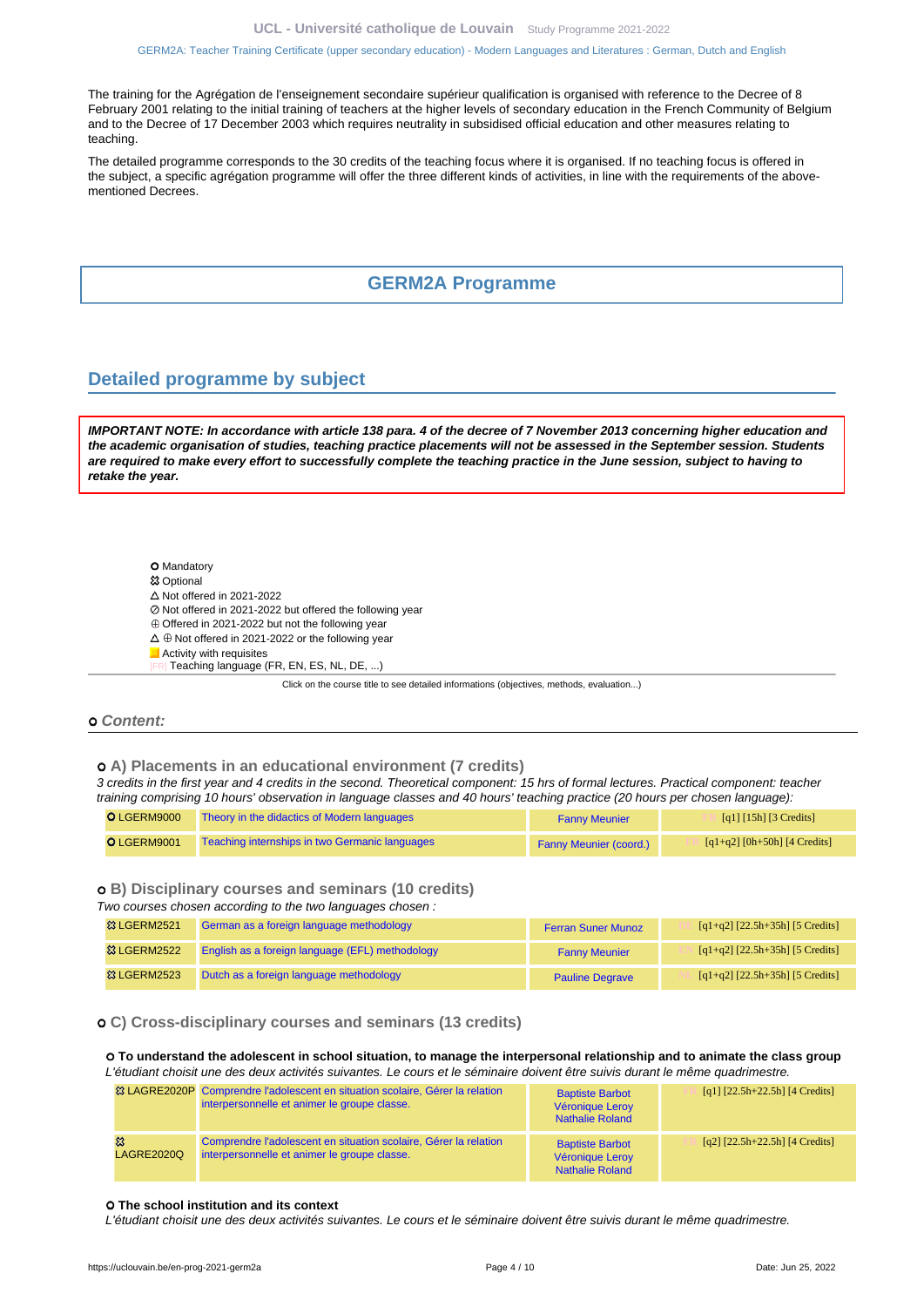The training for the Agrégation de l'enseignement secondaire supérieur qualification is organised with reference to the Decree of 8 February 2001 relating to the initial training of teachers at the higher levels of secondary education in the French Community of Belgium and to the Decree of 17 December 2003 which requires neutrality in subsidised official education and other measures relating to teaching.

The detailed programme corresponds to the 30 credits of the teaching focus where it is organised. If no teaching focus is offered in the subject, a specific agrégation programme will offer the three different kinds of activities, in line with the requirements of the abovementioned Decrees.

#### **GERM2A Programme**

#### <span id="page-3-1"></span><span id="page-3-0"></span>**Detailed programme by subject**

**IMPORTANT NOTE: In accordance with article 138 para. 4 of the decree of 7 November 2013 concerning higher education and the academic organisation of studies, teaching practice placements will not be assessed in the September session. Students are required to make every effort to successfully complete the teaching practice in the June session, subject to having to retake the year.**

- **O** Mandatory
- **<sup>83</sup> Optional**
- $\triangle$  Not offered in 2021-2022
- Not offered in 2021-2022 but offered the following year
- $\oplus$  Offered in 2021-2022 but not the following year
- $\Delta \oplus$  Not offered in 2021-2022 or the following year
- **Activity with requisites**
- Teaching language (FR, EN, ES, NL, DE, ...)

Click on the course title to see detailed informations (objectives, methods, evaluation...)

#### **Content:**

 **A) Placements in an educational environment (7 credits)**

3 credits in the first year and 4 credits in the second. Theoretical component: 15 hrs of formal lectures. Practical component: teacher training comprising 10 hours' observation in language classes and 40 hours' teaching practice (20 hours per chosen language):

| O LGERM9000 | Theory in the didactics of Modern languages    | <b>Fanny Meunier</b>   | [q1] $[15h]$ [3 Credits]     |
|-------------|------------------------------------------------|------------------------|------------------------------|
| O LGERM9001 | Teaching internships in two Germanic languages | Fanny Meunier (coord.) | [q1+q2] [0h+50h] [4 Credits] |

#### **B) Disciplinary courses and seminars (10 credits)**

Two courses chosen according to the two languages chosen :

| <b>83 LGERM2521</b>    | German as a foreign language methodology        | <b>Ferran Suner Munoz</b> | $[q1+q2]$ $[22.5h+35h]$ [5 Credits] |
|------------------------|-------------------------------------------------|---------------------------|-------------------------------------|
| <b>&amp; LGERM2522</b> | English as a foreign language (EFL) methodology | <b>Fanny Meunier</b>      | $[q1+q2]$ $[22.5h+35h]$ [5 Credits] |
| <b>&amp; LGERM2523</b> | Dutch as a foreign language methodology         | <b>Pauline Degrave</b>    | $[q1+q2]$ $[22.5h+35h]$ [5 Credits] |

#### **C) Cross-disciplinary courses and seminars (13 credits)**

 **To understand the adolescent in school situation, to manage the interpersonal relationship and to animate the class group** L'étudiant choisit une des deux activités suivantes. Le cours et le séminaire doivent être suivis durant le même quadrimestre.

|                   | <sup>33</sup> LAGRE2020P Comprendre l'adolescent en situation scolaire, Gérer la relation<br>interpersonnelle et animer le groupe classe. | <b>Baptiste Barbot</b><br>Véronique Leroy<br><b>Nathalie Roland</b> | [q1] $[22.5h+22.5h]$ [4 Credits]     |
|-------------------|-------------------------------------------------------------------------------------------------------------------------------------------|---------------------------------------------------------------------|--------------------------------------|
| <b>LAGRE2020Q</b> | Comprendre l'adolescent en situation scolaire, Gérer la relation<br>interpersonnelle et animer le groupe classe.                          | <b>Baptiste Barbot</b><br>Véronique Leroy<br><b>Nathalie Roland</b> | $[q2]$ $[22.5h+22.5h]$ $[4$ Credits] |

#### **The school institution and its context**

L'étudiant choisit une des deux activités suivantes. Le cours et le séminaire doivent être suivis durant le même quadrimestre.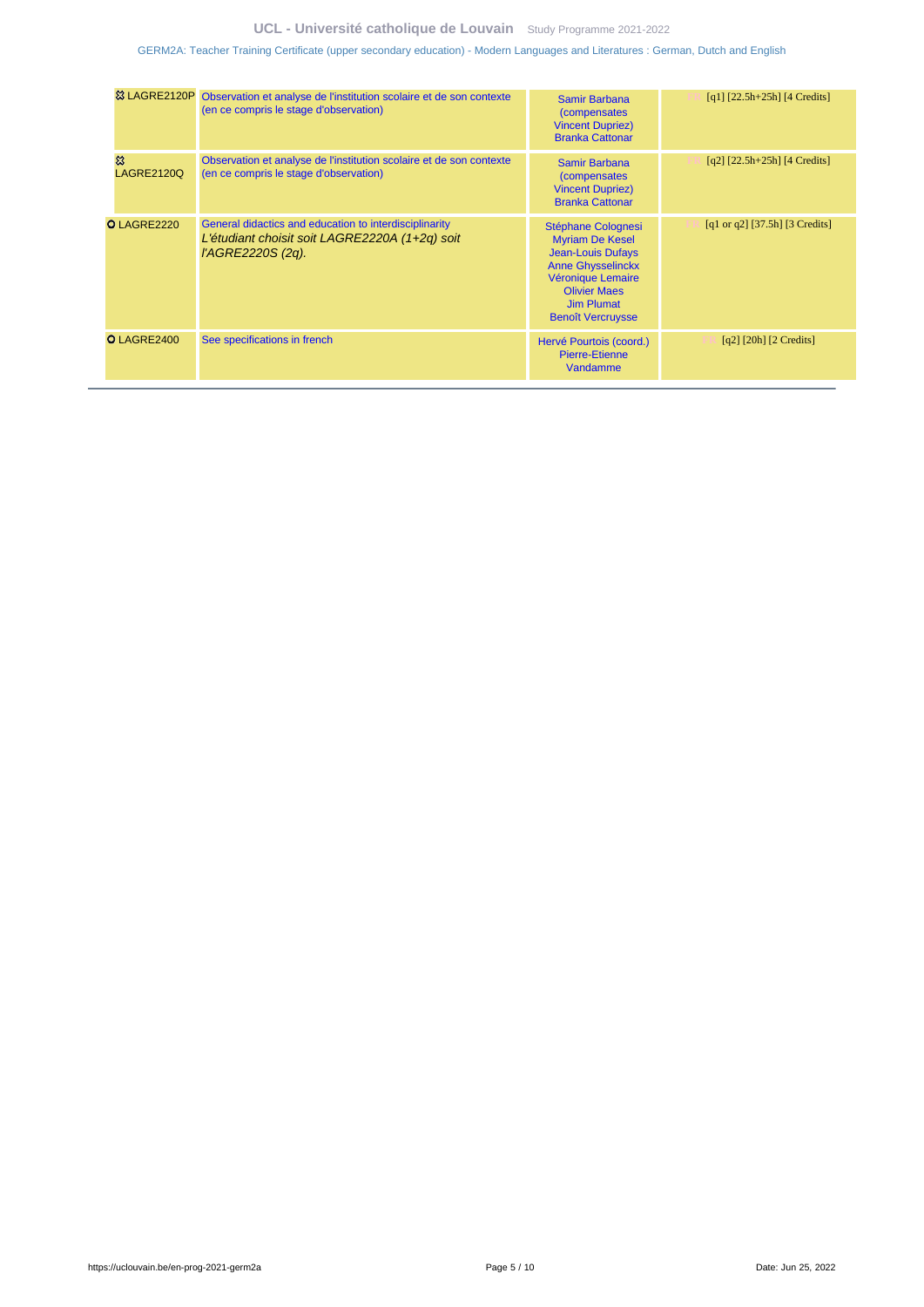### **UCL - Université catholique de Louvain** [Study Programme 2021-2022](https://uclouvain.be/en/study-programme)

[GERM2A: Teacher Training Certificate \(upper secondary education\) - Modern Languages and Literatures : German, Dutch and English](https://uclouvain.be/en-prog-2021-germ2a.html)

| 83 LAGRE2120P          | Observation et analyse de l'institution scolaire et de son contexte<br>(en ce compris le stage d'observation)                 | Samir Barbana<br><i>(compensates)</i><br><b>Vincent Dupriez)</b><br><b>Branka Cattonar</b>                                                                                                        | $[q1]$ [22.5h+25h] [4 Credits]                                    |
|------------------------|-------------------------------------------------------------------------------------------------------------------------------|---------------------------------------------------------------------------------------------------------------------------------------------------------------------------------------------------|-------------------------------------------------------------------|
| 惢<br><b>LAGRE2120Q</b> | Observation et analyse de l'institution scolaire et de son contexte<br>(en ce compris le stage d'observation)                 | Samir Barbana<br><i>(compensates)</i><br><b>Vincent Dupriez)</b><br><b>Branka Cattonar</b>                                                                                                        | $[q2]$ $[22.5h+25h]$ $[4$ Credits]                                |
| O LAGRE2220            | General didactics and education to interdisciplinarity<br>L'étudiant choisit soit LAGRE2220A (1+2q) soit<br>l'AGRE2220S (2q). | Stéphane Colognesi<br><b>Myriam De Kesel</b><br><b>Jean-Louis Dufays</b><br><b>Anne Ghysselinckx</b><br>Véronique Lemaire<br><b>Olivier Maes</b><br><b>Jim Plumat</b><br><b>Benoît Vercruysse</b> | [q1 or q2] $[37.5h]$ [3 Credits]                                  |
| O LAGRE2400            | See specifications in french                                                                                                  | Hervé Pourtois (coord.)<br>Pierre-Etienne<br>Vandamme                                                                                                                                             | $\lceil q^2 \rceil$ $\lceil 20h \rceil$ $\lceil 2 \rceil$ Credits |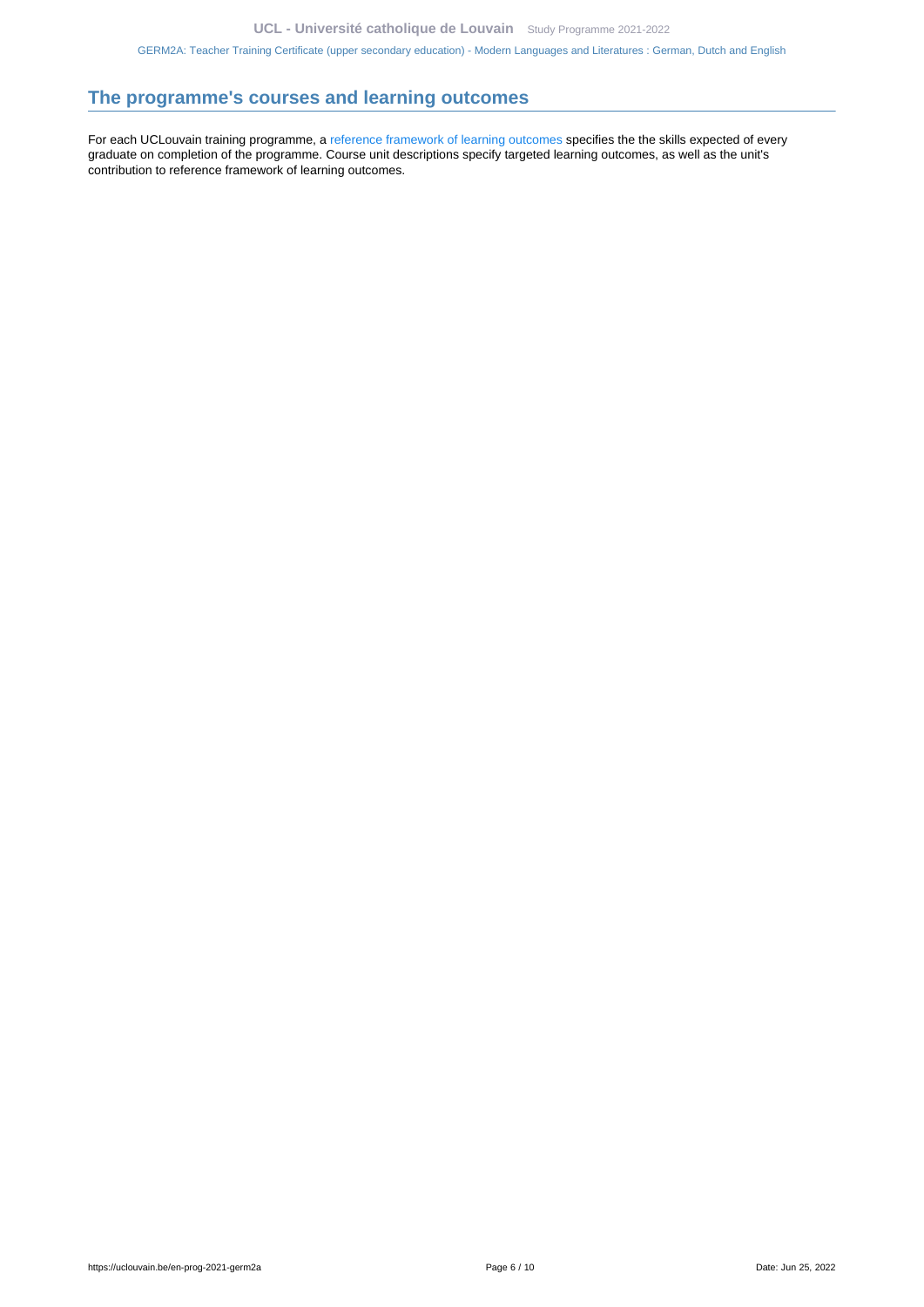## <span id="page-5-0"></span>**The programme's courses and learning outcomes**

For each UCLouvain training programme, a [reference framework of learning outcomes](https://uclouvain.be/en-prog-2021-germ2a-competences_et_acquis.html) specifies the the skills expected of every graduate on completion of the programme. Course unit descriptions specify targeted learning outcomes, as well as the unit's contribution to reference framework of learning outcomes.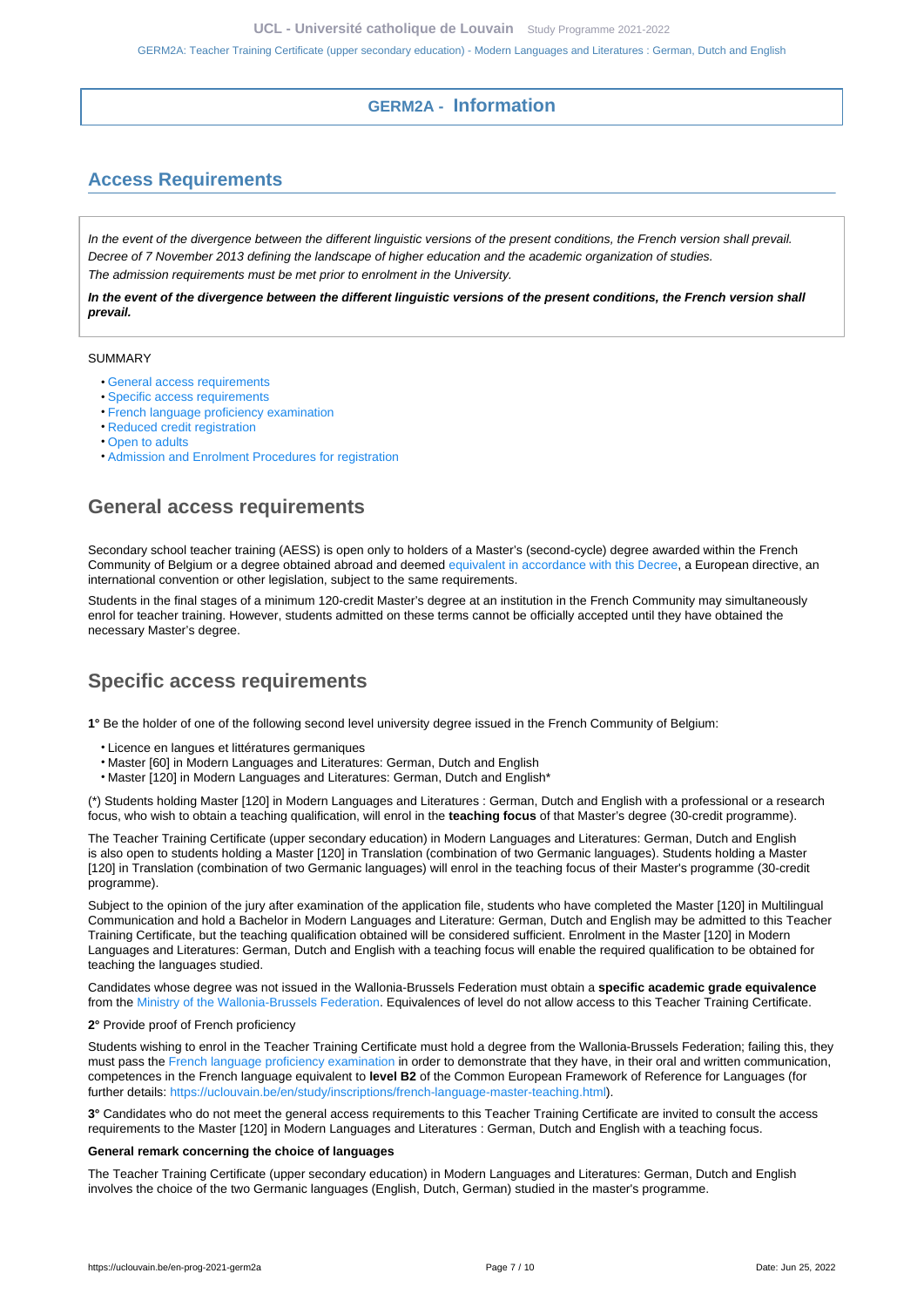## **GERM2A - Information**

# <span id="page-6-1"></span><span id="page-6-0"></span>**Access Requirements**

In the event of the divergence between the different linguistic versions of the present conditions, the French version shall prevail. Decree of 7 November 2013 defining the landscape of higher education and the academic organization of studies. The admission requirements must be met prior to enrolment in the University.

**In the event of the divergence between the different linguistic versions of the present conditions, the French version shall prevail.**

#### SUMMARY

- [General access requirements](#page-6-2)
- [Specific access requirements](#page-6-3)
- [French language proficiency examination](#page-7-0)
- [Reduced credit registration](#page-7-1)
- [Open to adults](#page-7-2)
- [Admission and Enrolment Procedures for registration](#page-7-3)

## <span id="page-6-2"></span>**General access requirements**

Secondary school teacher training (AESS) is open only to holders of a Master's (second-cycle) degree awarded within the French Community of Belgium or a degree obtained abroad and deemed [equivalent in accordance with this Decree,](http://www.equivalences.cfwb.be/) a European directive, an international convention or other legislation, subject to the same requirements.

Students in the final stages of a minimum 120-credit Master's degree at an institution in the French Community may simultaneously enrol for teacher training. However, students admitted on these terms cannot be officially accepted until they have obtained the necessary Master's degree.

## <span id="page-6-3"></span>**Specific access requirements**

**1°** Be the holder of one of the following second level university degree issued in the French Community of Belgium:

- Licence en langues et littératures germaniques
- Master [60] in Modern Languages and Literatures: German, Dutch and English
- Master [120] in Modern Languages and Literatures: German, Dutch and English\*

(\*) Students holding Master [120] in Modern Languages and Literatures : German, Dutch and English with a professional or a research focus, who wish to obtain a teaching qualification, will enrol in the **teaching focus** of that Master's degree (30-credit programme).

The Teacher Training Certificate (upper secondary education) in Modern Languages and Literatures: German, Dutch and English is also open to students holding a Master [120] in Translation (combination of two Germanic languages). Students holding a Master [120] in Translation (combination of two Germanic languages) will enrol in the teaching focus of their Master's programme (30-credit programme).

Subject to the opinion of the jury after examination of the application file, students who have completed the Master [120] in Multilingual Communication and hold a Bachelor in Modern Languages and Literature: German, Dutch and English may be admitted to this Teacher Training Certificate, but the teaching qualification obtained will be considered sufficient. Enrolment in the Master [120] in Modern Languages and Literatures: German, Dutch and English with a teaching focus will enable the required qualification to be obtained for teaching the languages studied.

Candidates whose degree was not issued in the Wallonia-Brussels Federation must obtain a **specific academic grade equivalence** from the [Ministry of the Wallonia-Brussels Federation.](http://www.equivalences.cfwb.be/) Equivalences of level do not allow access to this Teacher Training Certificate.

#### **2°** Provide proof of French proficiency

Students wishing to enrol in the Teacher Training Certificate must hold a degree from the Wallonia-Brussels Federation; failing this, they must pass the [French language proficiency examination](https://uclouvain.be/en/study/inscriptions/french-language-master-teaching.html) in order to demonstrate that they have, in their oral and written communication, competences in the French language equivalent to **level B2** of the Common European Framework of Reference for Languages (for further details: [https://uclouvain.be/en/study/inscriptions/french-language-master-teaching.html\)](https://uclouvain.be/en/study/inscriptions/french-language-master-teaching.html).

**3°** Candidates who do not meet the general access requirements to this Teacher Training Certificate are invited to consult the access requirements to the Master [120] in Modern Languages and Literatures : German, Dutch and English with a teaching focus.

#### **General remark concerning the choice of languages**

The Teacher Training Certificate (upper secondary education) in Modern Languages and Literatures: German, Dutch and English involves the choice of the two Germanic languages (English, Dutch, German) studied in the master's programme.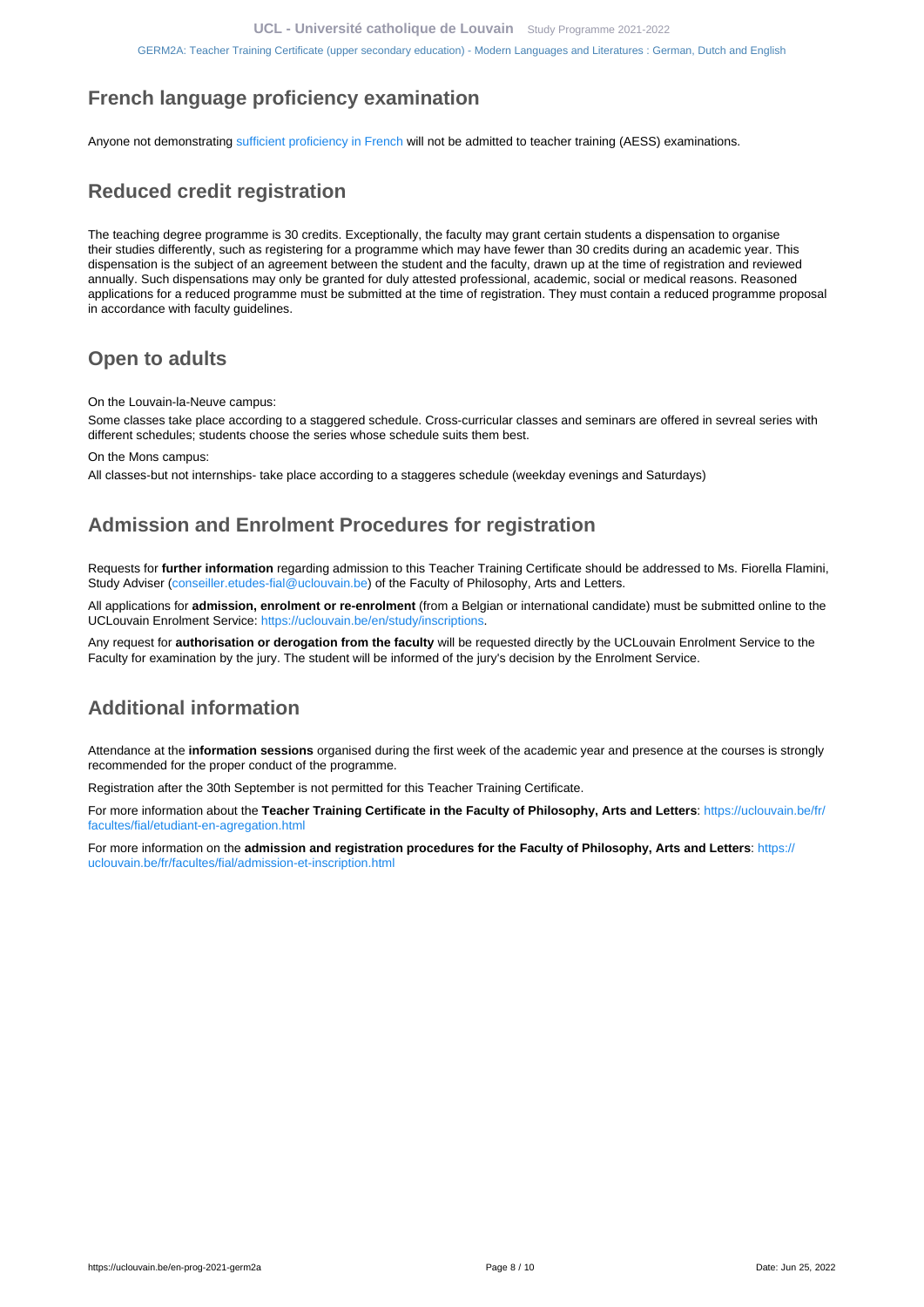# <span id="page-7-0"></span>**French language proficiency examination**

Anyone not demonstrating [sufficient proficiency in French](https://uclouvain.be/en/study/inscriptions/language-requirements.html) will not be admitted to teacher training (AESS) examinations.

# <span id="page-7-1"></span>**Reduced credit registration**

The teaching degree programme is 30 credits. Exceptionally, the faculty may grant certain students a dispensation to organise their studies differently, such as registering for a programme which may have fewer than 30 credits during an academic year. This dispensation is the subject of an agreement between the student and the faculty, drawn up at the time of registration and reviewed annually. Such dispensations may only be granted for duly attested professional, academic, social or medical reasons. Reasoned applications for a reduced programme must be submitted at the time of registration. They must contain a reduced programme proposal in accordance with faculty guidelines.

# <span id="page-7-2"></span>**Open to adults**

On the Louvain-la-Neuve campus:

Some classes take place according to a staggered schedule. Cross-curricular classes and seminars are offered in sevreal series with different schedules; students choose the series whose schedule suits them best.

On the Mons campus:

All classes-but not internships- take place according to a staggeres schedule (weekday evenings and Saturdays)

# <span id="page-7-3"></span>**Admission and Enrolment Procedures for registration**

Requests for **further information** regarding admission to this Teacher Training Certificate should be addressed to Ms. Fiorella Flamini, Study Adviser ([conseiller.etudes-fial@uclouvain.be\)](https://uclouvain.be/mailto:conseiller.etudes-fial@uclouvain.be?subject=GERM2A%20-%20Information%20request) of the Faculty of Philosophy, Arts and Letters.

All applications for **admission, enrolment or re-enrolment** (from a Belgian or international candidate) must be submitted online to the UCLouvain Enrolment Service: [https://uclouvain.be/en/study/inscriptions.](https://uclouvain.be/en/study/inscriptions)

Any request for **authorisation or derogation from the faculty** will be requested directly by the UCLouvain Enrolment Service to the Faculty for examination by the jury. The student will be informed of the jury's decision by the Enrolment Service.

# **Additional information**

Attendance at the **information sessions** organised during the first week of the academic year and presence at the courses is strongly recommended for the proper conduct of the programme.

Registration after the 30th September is not permitted for this Teacher Training Certificate.

For more information about the **Teacher Training Certificate in the Faculty of Philosophy, Arts and Letters**: [https://uclouvain.be/fr/](https://uclouvain.be/fr/facultes/fial/etudiant-en-agregation.html) [facultes/fial/etudiant-en-agregation.html](https://uclouvain.be/fr/facultes/fial/etudiant-en-agregation.html)

For more information on the **admission and registration procedures for the Faculty of Philosophy, Arts and Letters**: [https://](https://uclouvain.be/fr/facultes/fial/admission-et-inscription.html) [uclouvain.be/fr/facultes/fial/admission-et-inscription.html](https://uclouvain.be/fr/facultes/fial/admission-et-inscription.html)